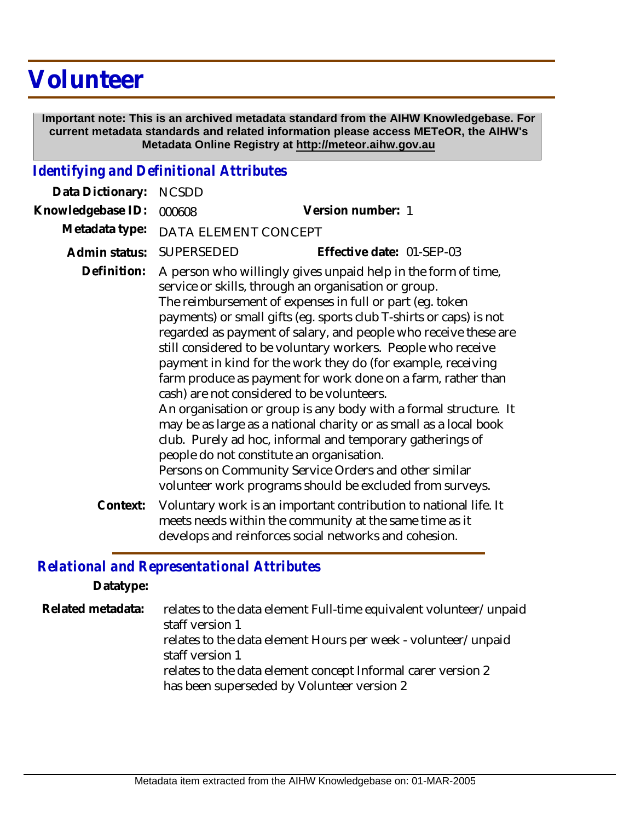## **Volunteer**

 **Important note: This is an archived metadata standard from the AIHW Knowledgebase. For current metadata standards and related information please access METeOR, the AIHW's Metadata Online Registry at http://meteor.aihw.gov.au**

## *Identifying and Definitional Attributes*

| Data Dictionary:  | <b>NCSDD</b>         |                                                                                                                                                                                                                                                                                                                                                                                                                                                                                                                                                                                                                                                                                                                                                                                                                                                                                                                                                  |
|-------------------|----------------------|--------------------------------------------------------------------------------------------------------------------------------------------------------------------------------------------------------------------------------------------------------------------------------------------------------------------------------------------------------------------------------------------------------------------------------------------------------------------------------------------------------------------------------------------------------------------------------------------------------------------------------------------------------------------------------------------------------------------------------------------------------------------------------------------------------------------------------------------------------------------------------------------------------------------------------------------------|
| Knowledgebase ID: | 000608               | Version number: 1                                                                                                                                                                                                                                                                                                                                                                                                                                                                                                                                                                                                                                                                                                                                                                                                                                                                                                                                |
| Metadata type:    | DATA ELEMENT CONCEPT |                                                                                                                                                                                                                                                                                                                                                                                                                                                                                                                                                                                                                                                                                                                                                                                                                                                                                                                                                  |
| Admin status:     | <b>SUPERSEDED</b>    | Effective date: 01-SEP-03                                                                                                                                                                                                                                                                                                                                                                                                                                                                                                                                                                                                                                                                                                                                                                                                                                                                                                                        |
| Definition:       |                      | A person who willingly gives unpaid help in the form of time,<br>service or skills, through an organisation or group.<br>The reimbursement of expenses in full or part (eg. token<br>payments) or small gifts (eg. sports club T-shirts or caps) is not<br>regarded as payment of salary, and people who receive these are<br>still considered to be voluntary workers. People who receive<br>payment in kind for the work they do (for example, receiving<br>farm produce as payment for work done on a farm, rather than<br>cash) are not considered to be volunteers.<br>An organisation or group is any body with a formal structure. It<br>may be as large as a national charity or as small as a local book<br>club. Purely ad hoc, informal and temporary gatherings of<br>people do not constitute an organisation.<br>Persons on Community Service Orders and other similar<br>volunteer work programs should be excluded from surveys. |
| Context:          |                      | Voluntary work is an important contribution to national life. It<br>meets needs within the community at the same time as it<br>develops and reinforces social networks and cohesion.                                                                                                                                                                                                                                                                                                                                                                                                                                                                                                                                                                                                                                                                                                                                                             |

## *Relational and Representational Attributes*

**Datatype:**

relates to the data element Full-time equivalent volunteer/unpaid staff version 1 relates to the data element Hours per week - volunteer/unpaid staff version 1 relates to the data element concept Informal carer version 2 has been superseded by Volunteer version 2 **Related metadata:**